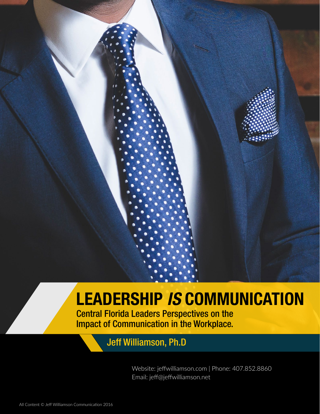# LEADERSHIP *IS* COMMUNICATION

Central Florida Leaders Perspectives on the Impact of Communication in the Workplace.

## Jeff Williamson, Ph.D

Website: jeffwilliamson.com | Phone: 407.852.8860 Email: jeff@jeffwilliamson.net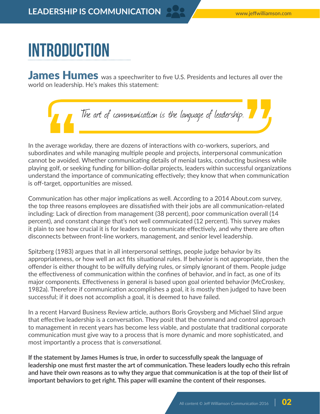# Introduction

James Humes was a speechwriter to five U.S. Presidents and lectures all over the world on leadership. He's makes this statement:



In the average workday, there are dozens of interactions with co-workers, superiors, and subordinates and while managing multiple people and projects, interpersonal communication cannot be avoided. Whether communicating details of menial tasks, conducting business while playing golf, or seeking funding for billion-dollar projects, leaders within successful organizations understand the importance of communicating effectively; they know that when communication is off-target, opportunities are missed.

Communication has other major implications as well. According to a 2014 About.com survey, the top three reasons employees are dissatisfied with their jobs are all communication-related including: Lack of direction from management (38 percent), poor communication overall (14 percent), and constant change that's not well communicated (12 percent). This survey makes it plain to see how crucial it is for leaders to communicate effectively, and why there are often disconnects between front-line workers, management, and senior level leadership.

Spitzberg (1983) argues that in all interpersonal settings, people judge behavior by its appropriateness, or how well an act fits situational rules. If behavior is not appropriate, then the offender is either thought to be wilfully defying rules, or simply ignorant of them. People judge the effectiveness of communication within the confines of behavior, and in fact, as one of its major components. Effectiveness in general is based upon goal oriented behavior (McCroskey, 1982a). Therefore if communication accomplishes a goal, it is mostly then judged to have been successful; if it does not accomplish a goal, it is deemed to have failed.

In a recent Harvard Business Review article, authors Boris Groysberg and Michael Slind argue that effective leadership is a conversation. They posit that the command and control approach to management in recent years has become less viable, and postulate that traditional corporate communication must give way to a process that is more dynamic and more sophisticated, and most importantly a process that is *conversational.*

**If the statement by James Humes is true, in order to successfully speak the language of leadership one must first master the art of communication. These leaders loudly echo this refrain and have their own reasons as to why they argue that communication is at the top of their list of important behaviors to get right. This paper will examine the content of their responses.**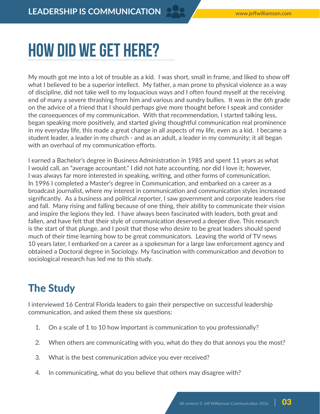# How did we get here?

My mouth got me into a lot of trouble as a kid. I was short, small in frame, and liked to show off what I believed to be a superior intellect. My father, a man prone to physical violence as a way of discipline, did not take well to my loquacious ways and I often found myself at the receiving end of many a severe thrashing from him and various and sundry bullies. It was in the 6th grade on the advice of a friend that I should perhaps give more thought before I speak and consider the consequences of my communication. With that recommendation, I started talking less, began speaking more positively, and started giving thoughtful communication real prominence in my everyday life, this made a great change in all aspects of my life, even as a kid. I became a student leader, a leader in my church - and as an adult, a leader in my community; it all began with an overhaul of my communication efforts.

I earned a Bachelor's degree in Business Administration in 1985 and spent 11 years as what I would call, an "average accountant." I did not hate accounting, nor did I love it; however, I was always far more interested in speaking, writing, and other forms of communication. In 1996 I completed a Master's degree in Communication, and embarked on a career as a broadcast journalist, where my interest in communication and communication styles increased significantly. As a business and political reporter, I saw government and corporate leaders rise and fall. Many rising and falling because of one thing, their ability to communicate their vision and inspire the legions they led. I have always been fascinated with leaders, both great and fallen, and have felt that their style of communication deserved a deeper dive. This research is the start of that plunge, and I posit that those who desire to be great leaders should spend much of their time learning how to be great communicators. Leaving the world of TV news 10 years later, I embarked on a career as a spokesman for a large law enforcement agency and obtained a Doctoral degree in Sociology. My fascination with communication and devotion to sociological research has led me to this study.

## The Study

I interviewed 16 Central Florida leaders to gain their perspective on successful leadership communication, and asked them these six questions:

- 1. On a scale of 1 to 10 how important is communication to you professionally?
- 2. When others are communicating with you, what do they do that annoys you the most?
- 3. What is the best communication advice you ever received?
- 4. In communicating, what do you believe that others may disagree with?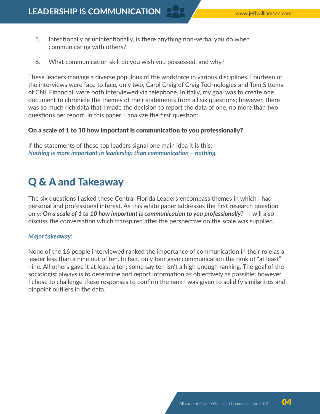**LEADERSHIP IS COMMUNICATION**

- 5. Intentionally or unintentionally, is there anything non-verbal you do when communicating with others?
- 6. What communication skill do you wish you possessed, and why?

These leaders manage a diverse populous of the workforce in various disciplines. Fourteen of the interviews were face to face, only two, Carol Craig of Craig Technologies and Tom Sittema of CNL Financial, were both interviewed via telephone. Initially, my goal was to create one document to chronicle the themes of their statements from all six questions; however, there was so much rich data that I made the decision to report the data of one, no more than two questions per report. In this paper, I analyze the first question:

#### On a scale of 1 to 10 how important is communication to you professionally?

If the statements of these top leaders signal one main idea it is this: *Nothing is more important in leadership than communication – nothing.*

### Q & A and Takeaway

The six questions I asked these Central Florida Leaders encompass themes in which I had personal and professional interest. As this white paper addresses the first research question only: *On a scale of 1 to 10 how important is communication to you professionally?* - I will also discuss the conversation which transpired after the perspective on the scale was supplied.

#### *Major takeaway:*

None of the 16 people interviewed ranked the importance of communication in their role as a leader less than a nine out of ten. In fact, only four gave communication the rank of "at least" nine. All others gave it at least a ten; some say ten isn't a high enough ranking. The goal of the sociologist always is to determine and report information as objectively as possible; however, I chose to challenge these responses to confirm the rank I was given to solidify similarities and pinpoint outliers in the data.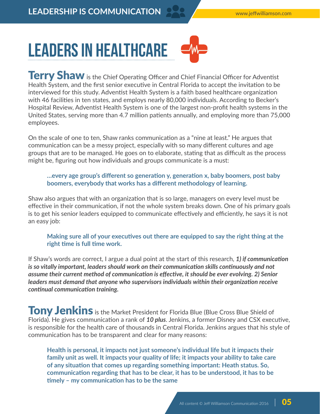

**Terry Shaw** is the Chief Operating Officer and Chief Financial Officer for Adventist Health System, and the first senior executive in Central Florida to accept the invitation to be interviewed for this study. Adventist Health System is a faith based healthcare organization with 46 facilities in ten states, and employs nearly 80,000 individuals. According to Becker's Hospital Review, Adventist Health System is one of the largest non-profit health systems in the United States, serving more than 4.7 million patients annually, and employing more than 75,000 employees.

On the scale of one to ten, Shaw ranks communication as a "nine at least." He argues that communication can be a messy project, especially with so many different cultures and age groups that are to be managed. He goes on to elaborate, stating that as difficult as the process might be, figuring out how individuals and groups communicate is a must:

**…every age group's different so generation y, generation x, baby boomers, post baby boomers, everybody that works has a different methodology of learning.**

Shaw also argues that with an organization that is so large, managers on every level must be effective in their communication, if not the whole system breaks down. One of his primary goals is to get his senior leaders equipped to communicate effectively and efficiently, he says it is not an easy job:

**Making sure all of your executives out there are equipped to say the right thing at the right time is full time work.**

If Shaw's words are correct, I argue a dual point at the start of this research, *1) if communication is so vitally important, leaders should work on their communication skills continuously and not assume their current method of communication is effective, it should be ever evolving. 2) Senior leaders must demand that anyone who supervisors individuals within their organization receive continual communication training.*

Tony Jenkins is the Market President for Florida Blue (Blue Cross Blue Shield of Florida). He gives communication a rank of *10 plus*. Jenkins, a former Disney and CSX executive, is responsible for the health care of thousands in Central Florida. Jenkins argues that his style of communication has to be transparent and clear for many reasons:

**Health is personal, it impacts not just someone's individual life but it impacts their family unit as well. It impacts your quality of life; it impacts your ability to take care of any situation that comes up regarding something important: Heath status. So, communication regarding that has to be clear, it has to be understood, it has to be timely – my communication has to be the same**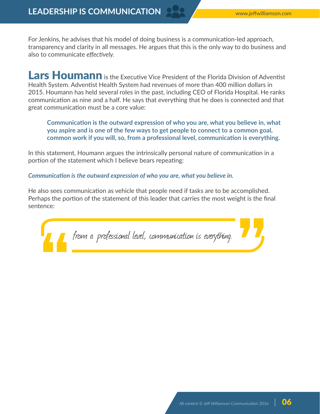For Jenkins, he advises that his model of doing business is a communication-led approach, transparency and clarity in all messages. He argues that this is the only way to do business and also to communicate *effectively.*

Lars Houmann is the Executive Vice President of the Florida Division of Adventist Health System. Adventist Health System had revenues of more than 400 million dollars in 2015. Houmann has held several roles in the past, including CEO of Florida Hospital. He ranks communication as nine and a half. He says that everything that he does is connected and that great communication must be a core value:

**Communication is the outward expression of who you are, what you believe in, what you aspire and is one of the few ways to get people to connect to a common goal, common work if you will, so, from a professional level, communication is everything.** 

In this statement, Houmann argues the intrinsically personal nature of communication in a portion of the statement which I believe bears repeating:

*Communication is the outward expression of who you are, what you believe in.*

He also sees communication as vehicle that people need if tasks are to be accomplished. Perhaps the portion of the statement of this leader that carries the most weight is the final sentence:

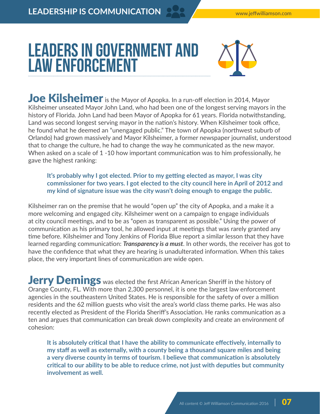## LEADERS IN GOVERNMENT AND Law Enforcement



Joe Kilsheimer is the Mayor of Apopka. In a run-off election in 2014, Mayor Kilsheimer unseated Mayor John Land, who had been one of the longest serving mayors in the history of Florida. John Land had been Mayor of Apopka for 61 years. Florida notwithstanding, Land was second longest serving mayor in the nation's history. When Kilsheimer took office, he found what he deemed an "unengaged public." The town of Apopka (northwest suburb of Orlando) had grown massively and Mayor Kilsheimer, a former newspaper journalist, understood that to change the culture, he had to change the way he communicated as the new mayor. When asked on a scale of 1 -10 how important communication was to him professionally, he gave the highest ranking:

**It's probably why I got elected. Prior to my getting elected as mayor, I was city commissioner for two years. I got elected to the city council here in April of 2012 and my kind of signature issue was the city wasn't doing enough to engage the public.**

Kilsheimer ran on the premise that he would "open up" the city of Apopka, and a make it a more welcoming and engaged city. Kilsheimer went on a campaign to engage individuals at city council meetings, and to be as "open as transparent as possible." Using the power of communication as his primary tool, he allowed input at meetings that was rarely granted any time before. Kilsheimer and Tony Jenkins of Florida Blue report a similar lesson that they have learned regarding communication: *Transparency is a must*. In other words, the receiver has got to have the confidence that what they are hearing is unadulterated information. When this takes place, the very important lines of communication are wide open.

**Jerry Demings** was elected the first African American Sheriff in the history of Orange County, FL. With more than 2,300 personnel, it is one the largest law enforcement agencies in the southeastern United States. He is responsible for the safety of over a million residents and the 62 million guests who visit the area's world class theme parks. He was also recently elected as President of the Florida Sheriff's Association. He ranks communication as a ten and argues that communication can break down complexity and create an environment of cohesion:

**It is absolutely critical that I have the ability to communicate effectively, internally to my staff as well as externally, with a county being a thousand square miles and being a very diverse county in terms of tourism. I believe that communication is absolutely critical to our ability to be able to reduce crime, not just with deputies but community involvement as well.**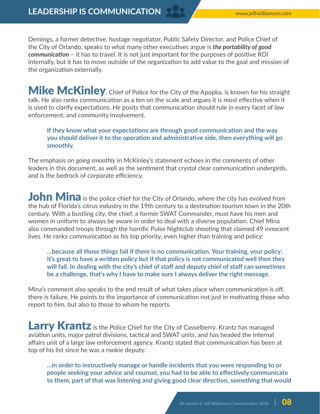Demings, a former detective, hostage negotiator, Public Safety Director, and Police Chief of the City of Orlando, speaks to what many other executives argue is *the portability of good communication* – it has to travel. It is not just important for the purposes of positive ROI internally, but it has to move outside of the organization to add value to the goal and mission of the organization externally.

Mike McKinley, Chief of Police for the City of the Apopka, is known for his straight talk. He also ranks communication as a ten on the scale and argues it is most effective when it is used to clarify expectations. He posits that communication should rule in every facet of law enforcement, and community involvement.

**If they know what your expectations are through good communication and the way you should deliver it to the operation and administrative side, then everything will go smoothly.**

The emphasis on *going smoothly* in McKinley's statement echoes in the comments of other leaders in this document, as well as the sentiment that crystal clear communication undergirds, and is the bedrock of corporate efficiency.

John Mina is the police chief for the City of Orlando, where the city has evolved from the hub of Florida's citrus industry in the 19th century to a destination tourism town in the 20th century. With a bustling city, the chief, a former SWAT Commander, must have his men and women in uniform to always be aware in order to deal with a diverse population. Chief Mina also commanded troops through the horrific Pulse Nightclub shooting that claimed 49 innocent lives. He ranks communication as his top priority, even higher than training and policy:

**…because all those things fail if there is no communication. Your training, your policy; it's great to have a written policy but if that policy is not communicated well then they will fail. In dealing with the city's chief of staff and deputy chief of staff can sometimes be a challenge, that's why I have to make sure I always deliver the right message.**

Mina's comment also speaks to the end result of what takes place when communication is off, there is failure. He points to the importance of communication not just in motivating those who report to him, but also to those to whom he reports.

**Larry Krantz** is the Police Chief for the City of Casselberry. Krantz has managed aviation units, major patrol divisions, tactical and SWAT units, and has headed the internal affairs unit of a large law enforcement agency. Krantz stated that communication has been at top of his list since he was a rookie deputy:

**…in order to instructively manage or handle incidents that you were responding to or people seeking your advice and counsel, you had to be able to effectively communicate to them, part of that was listening and giving good clear direction, something that would**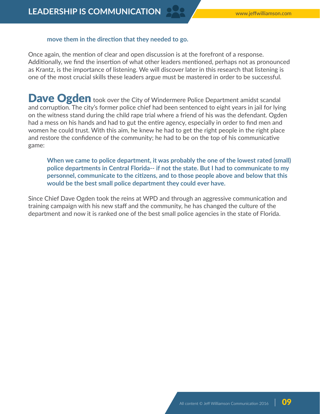### **move them in the direction that they needed to go.**

Once again, the mention of clear and open discussion is at the forefront of a response. Additionally, we find the insertion of what other leaders mentioned, perhaps not as pronounced as Krantz, is the importance of listening. We will discover later in this research that listening is one of the most crucial skills these leaders argue must be mastered in order to be successful.

Dave Ogden took over the City of Windermere Police Department amidst scandal and corruption. The city's former police chief had been sentenced to eight years in jail for lying on the witness stand during the child rape trial where a friend of his was the defendant. Ogden had a mess on his hands and had to gut the entire agency, especially in order to find men and women he could trust. With this aim, he knew he had to get the right people in the right place and restore the confidence of the community; he had to be on the top of his communicative game:

**When we came to police department, it was probably the one of the lowest rated (small) police departments in Central Florida-- if not the state. But I had to communicate to my personnel, communicate to the citizens, and to those people above and below that this would be the best small police department they could ever have.** 

Since Chief Dave Ogden took the reins at WPD and through an aggressive communication and training campaign with his new staff and the community, he has changed the culture of the department and now it is ranked one of the best small police agencies in the state of Florida.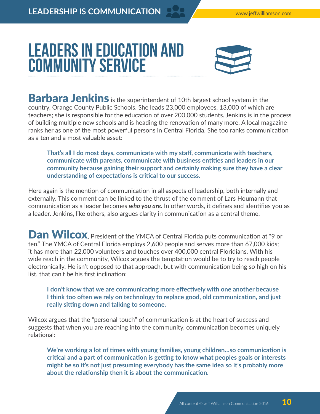## Leaders in Education and Community Service



**Barbara Jenkins** is the superintendent of 10th largest school system in the country, Orange County Public Schools. She leads 23,000 employees, 13,000 of which are teachers; she is responsible for the education of over 200,000 students. Jenkins is in the process of building multiple new schools and is heading the renovation of many more. A local magazine ranks her as one of the most powerful persons in Central Florida. She too ranks communication as a ten and a most valuable asset:

**That's all I do most days, communicate with my staff, communicate with teachers, communicate with parents, communicate with business entities and leaders in our community because gaining their support and certainly making sure they have a clear understanding of expectations is critical to our success.**

Here again is the mention of communication in all aspects of leadership, both internally and externally. This comment can be linked to the thrust of the comment of Lars Houmann that communication as a leader becomes *who you are.* In other words, it defines and identifies you as a leader. Jenkins, like others, also argues clarity in communication as a central theme.

Dan Wilcox, President of the YMCA of Central Florida puts communication at "9 or ten." The YMCA of Central Florida employs 2,600 people and serves more than 67,000 kids; it has more than 22,000 volunteers and touches over 400,000 central Floridians. With his wide reach in the community, Wilcox argues the temptation would be to try to reach people electronically. He isn't opposed to that approach, but with communication being so high on his list, that can't be his first inclination:

**I don't know that we are communicating more effectively with one another because I think too often we rely on technology to replace good, old communication, and just really sitting down and talking to someone.**

Wilcox argues that the "personal touch" of communication is at the heart of success and suggests that when you are reaching into the community, communication becomes uniquely relational:

**We're working a lot of times with young families, young children…so communication is critical and a part of communication is getting to know what peoples goals or interests might be so it's not just presuming everybody has the same idea so it's probably more about the relationship then it is about the communication.**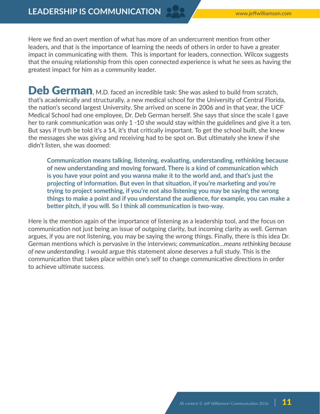Here we find an overt mention of what has more of an undercurrent mention from other leaders, and that is the importance of learning the needs of others in order to have a greater impact in communicating with them. This is important for leaders, connection. Wilcox suggests that the ensuing relationship from this open connected experience is what he sees as having the greatest impact for him as a community leader.

Deb German, M.D. faced an incredible task: She was asked to build from scratch, that's academically and structurally, a new medical school for the University of Central Florida, the nation's second largest University. She arrived on scene in 2006 and in that year, the UCF Medical School had one employee, Dr. Deb German herself. She says that since the scale I gave her to rank communication was only 1 -10 she would stay within the guidelines and give it a ten. But says if truth be told it's a 14, it's that critically important. To get the school built, she knew the messages she was giving and receiving had to be spot on. But ultimately she knew if she didn't listen, she was doomed:

**Communication means talking, listening, evaluating, understanding, rethinking because of new understanding and moving forward. There is a kind of communication which is you have your point and you wanna make it to the world and, and that's just the projecting of information. But even in that situation, if you're marketing and you're trying to project something, if you're not also listening you may be saying the wrong things to make a point and if you understand the audience, for example, you can make a better pitch, if you will. So I think all communication is two-way.**

Here is the mention again of the importance of listening as a leadership tool, and the focus on communication not just being an issue of outgoing clarity, but incoming clarity as well. German argues, if you are not listening, you may be saying the wrong things. Finally, there is this idea Dr. German mentions which is pervasive in the interviews; *communication…means rethinking because of new understanding*. I would argue this statement alone deserves a full study. This is the communication that takes place within one's self to change communicative directions in order to achieve ultimate success.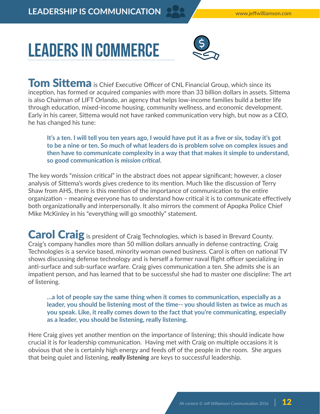# Leaders in Commerce



Tom Sittema is Chief Executive Officer of CNL Financial Group, which since its inception, has formed or acquired companies with more than 33 billion dollars in assets. Sittema is also Chairman of LIFT Orlando, an agency that helps low-income families build a better life through education, mixed-income housing, community wellness, and economic development. Early in his career, Sittema would not have ranked communication very high, but now as a CEO, he has changed his tune:

**It's a ten. I will tell you ten years ago, I would have put it as a five or six, today it's got to be a nine or ten. So much of what leaders do is problem solve on complex issues and then have to communicate complexity in a way that that makes it simple to understand, so good communication is** *mission critical***.** 

The key words "mission critical" in the abstract does not appear significant; however, a closer analysis of Sittema's words gives credence to its mention. Much like the discussion of Terry Shaw from AHS, there is this mention of the importance of communication to the entire organization – meaning everyone has to understand how critical it is to communicate effectively both organizationally and interpersonally. It also mirrors the comment of Apopka Police Chief Mike McKinley in his "everything will go smoothly" statement.

Carol Craig is president of Craig Technologies, which is based in Brevard County. Craig's company handles more than 50 million dollars annually in defense contracting. Craig Technologies is a service based, minority woman owned business. Carol is often on national TV shows discussing defense technology and is herself a former naval flight officer specializing in anti-surface and sub-surface warfare. Craig gives communication a ten. She admits she is an impatient person, and has learned that to be successful she had to master one discipline: The art of listening.

**…a lot of people say the same thing when it comes to communication, especially as a leader, you should be listening most of the time-- you should listen as twice as much as you speak. Like, it really comes down to the fact that you're communicating, especially as a leader, you should be listening, really listening.**

Here Craig gives yet another mention on the importance of listening; this should indicate how crucial it is for leadership communication. Having met with Craig on multiple occasions it is obvious that she is certainly high energy and feeds off of the people in the room. She argues that being quiet and listening, *really listening* are keys to successful leadership.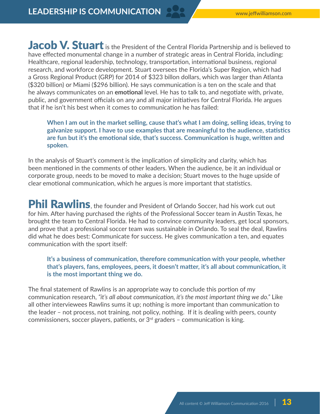Jacob V. Stuart is the President of the Central Florida Partnership and is believed to have effected monumental change in a number of strategic areas in Central Florida, including: Healthcare, regional leadership, technology, transportation, international business, regional research, and workforce development. Stuart oversees the Florida's Super Region, which had a Gross Regional Product (GRP) for 2014 of \$323 billon dollars, which was larger than Atlanta (\$320 billion) or Miami (\$296 billion). He says communication is a ten on the scale and that he always communicates on an **emotional** level. He has to talk to, and negotiate with, private, public, and government officials on any and all major initiatives for Central Florida. He argues that if he isn't his best when it comes to communication he has failed:

**When I am out in the market selling, cause that's what I am doing, selling ideas, trying to galvanize support. I have to use examples that are meaningful to the audience, statistics are fun but it's the emotional side, that's success. Communication is huge, written and spoken.**

In the analysis of Stuart's comment is the implication of simplicity and clarity, which has been mentioned in the comments of other leaders. When the audience, be it an individual or corporate group, needs to be moved to make a decision; Stuart moves to the huge upside of clear emotional communication, which he argues is more important that statistics.

Phil Rawlins, the founder and President of Orlando Soccer, had his work cut out for him. After having purchased the rights of the Professional Soccer team in Austin Texas, he brought the team to Central Florida. He had to convince community leaders, get local sponsors, and prove that a professional soccer team was sustainable in Orlando. To seal the deal, Rawlins did what he does best: Communicate for success. He gives communication a ten, and equates communication with the sport itself:

**It's a business of communication, therefore communication with your people, whether that's players, fans, employees, peers, it doesn't matter, it's all about communication, it is the most important thing we do.**

The final statement of Rawlins is an appropriate way to conclude this portion of my communication research, *"it's all about communication, it's the most important thing we do."* Like all other interviewees Rawlins sums it up; nothing is more important than communication to the leader – not process, not training, not policy, nothing. If it is dealing with peers, county commissioners, soccer players, patients, or  $3<sup>rd</sup>$  graders – communication is king.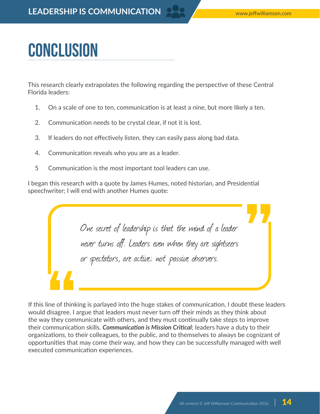# Conclusion

This research clearly extrapolates the following regarding the perspective of these Central Florida leaders:

- 1. On a scale of one to ten, communication is at least a nine, but more likely a ten.
- 2. Communication needs to be crystal clear, if not it is lost.
- 3. If leaders do not effectively listen, they can easily pass along bad data.
- 4. Communication reveals who you are as a leader.
- 5 Communication is the most important tool leaders can use.

I began this research with a quote by James Humes, noted historian, and Presidential speechwriter; I will end with another Humes quote:

One secret of leadership is that the mind of a leader never turns off. Leaders even when they are sightseers or spectators, are active; not passive observers.

If this line of thinking is parlayed into the huge stakes of communication, I doubt these leaders would disagree. I argue that leaders must never turn off their minds as they think about the way they communicate with others, and they must continually take steps to improve their communication skills. *Communication is Mission Critical*; leaders have a duty to their organizations, to their colleagues, to the public, and to themselves to always be cognizant of opportunities that may come their way, and how they can be successfully managed with well executed communication experiences.